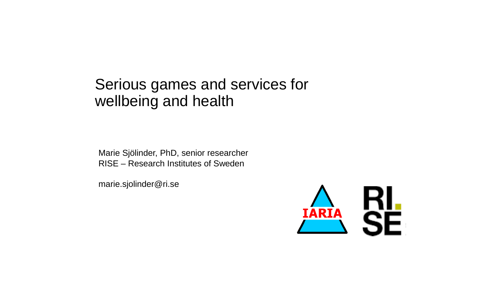## Serious games and services for wellbeing and health

Marie Sjölinder, PhD, senior researcher RISE – Research Institutes of Sweden

marie.sjolinder@ri.se

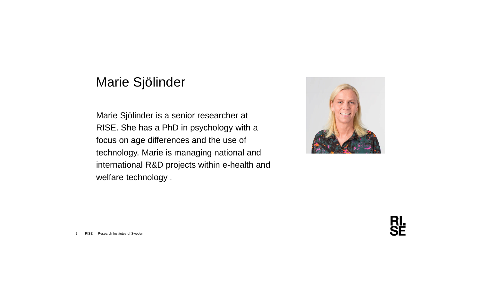## Marie Sjölinder

Marie Sjölinder is a senior researcher at RISE. She has a PhD in psychology with a focus on age differences and the use of technology. Marie is managing national and international R&D projects within e-health and welfare technology .



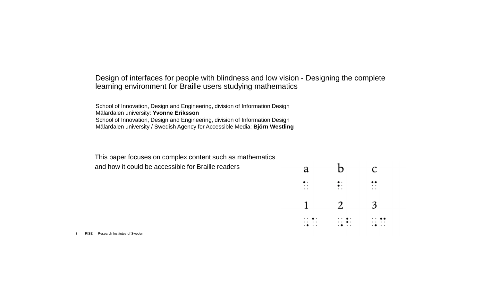## Design of interfaces for people with blindness and low vision - Designing the complete learning environment for Braille users studying mathematics

School of Innovation, Design and Engineering, division of Information Design Mälardalen university: **Yvonne Eriksson** School of Innovation, Design and Engineering, division of Information Design Mälardalen university / Swedish Agency for Accessible Media: **Björn Westling**

This paper focuses on complex content such as mathematics

| and how it could be accessible for Braille readers |
|----------------------------------------------------|
|----------------------------------------------------|

| a                                     | $\mathbf b$                                | C                                          |
|---------------------------------------|--------------------------------------------|--------------------------------------------|
| $\bullet$ .<br>$\cdot$ $\cdot$<br>. . | ።<br>. .                                   | $\bullet\bullet$<br>$\cdot$ $\cdot$<br>. . |
| $\mathbf 1$                           | $\overline{2}$                             | $\overline{3}$                             |
| . . <b>.</b> .<br>.<br>$\cdot$        | . . <b>.</b> .<br>$\cdots$ .<br>. <b>.</b> | $\cdot$ .<br>.<br>. <b>.</b>               |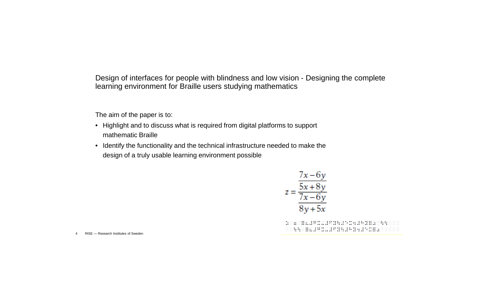Design of interfaces for people with blindness and low vision - Designing the complete learning environment for Braille users studying mathematics

The aim of the paper is to:

- Highlight and to discuss what is required from digital platforms to support mathematic Braille
- Identify the functionality and the technical infrastructure needed to make the design of a truly usable learning environment possible

$$
z = \frac{\frac{7x - 6y}{5x + 8y}}{\frac{7x - 6y}{8y + 5x}}
$$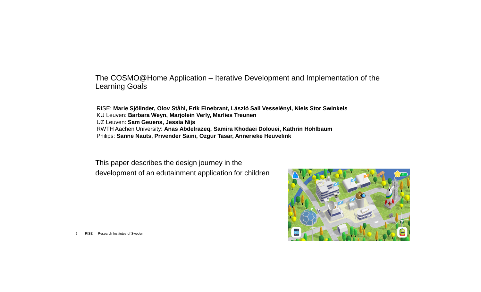The COSMO@Home Application – Iterative Development and Implementation of the Learning Goals

RISE: **Marie Sjölinder, Olov Ståhl, Erik Einebrant, László Sall Vesselényi, Niels Stor Swinkels** KU Leuven: **Barbara Weyn, Marjolein Verly, Marlies Treunen** UZ Leuven: **Sam Geuens, Jessia Nijs** RWTH Aachen University: **Anas Abdelrazeq, Samira Khodaei Dolouei, Kathrin Hohlbaum** Philips: **Sanne Nauts, Privender Saini, Ozgur Tasar, Annerieke Heuvelink**

This paper describes the design journey in the development of an edutainment application for children

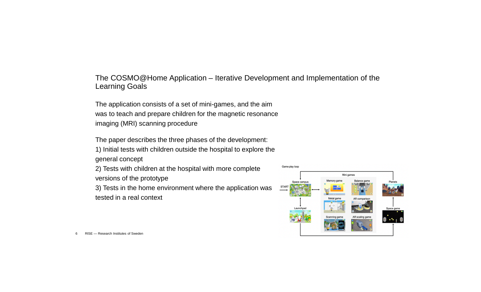The COSMO@Home Application – Iterative Development and Implementation of the Learning Goals

The application consists of a set of mini-games, and the aim was to teach and prepare children for the magnetic resonance imaging (MRI) scanning procedure

The paper describes the three phases of the development:

1) Initial tests with children outside the hospital to explore the general concept

2) Tests with children at the hospital with more complete versions of the prototype

3) Tests in the home environment where the application was tested in a real context